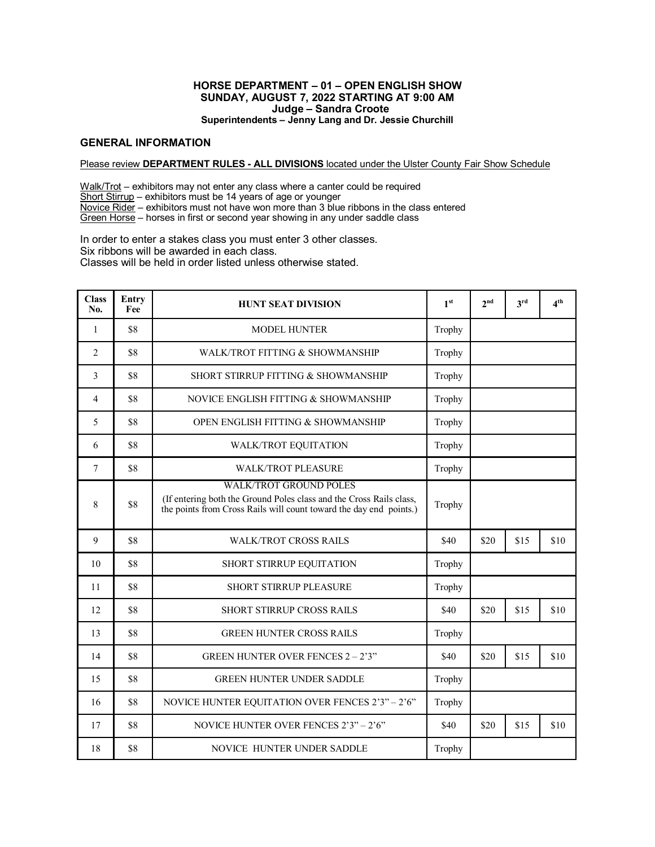### **HORSE DEPARTMENT – 01 – OPEN ENGLISH SHOW SUNDAY, AUGUST 7, 2022 STARTING AT 9:00 AM Judge – Sandra Croote Superintendents – Jenny Lang and Dr. Jessie Churchill**

## **GENERAL INFORMATION**

#### Please review **DEPARTMENT RULES - ALL DIVISIONS** located under the Ulster County Fair Show Schedule

Walk/Trot – exhibitors may not enter any class where a canter could be required Short Stirrup – exhibitors must be 14 years of age or younger Novice Rider – exhibitors must not have won more than 3 blue ribbons in the class entered Green Horse – horses in first or second year showing in any under saddle class

In order to enter a stakes class you must enter 3 other classes. Six ribbons will be awarded in each class. Classes will be held in order listed unless otherwise stated.

| <b>Class</b><br>No. | Entry<br>Fee | <b>HUNT SEAT DIVISION</b>                                                                                                                                                  | 1 <sup>st</sup> | 2 <sub>nd</sub> | $3^{\text{rd}}$ | 4 <sup>th</sup> |
|---------------------|--------------|----------------------------------------------------------------------------------------------------------------------------------------------------------------------------|-----------------|-----------------|-----------------|-----------------|
| 1                   | \$8          | <b>MODEL HUNTER</b>                                                                                                                                                        | Trophy          |                 |                 |                 |
| $\overline{2}$      | \$8          | WALK/TROT FITTING & SHOWMANSHIP                                                                                                                                            | Trophy          |                 |                 |                 |
| 3                   | \$8          | SHORT STIRRUP FITTING & SHOWMANSHIP                                                                                                                                        | Trophy          |                 |                 |                 |
| 4                   | \$8          | NOVICE ENGLISH FITTING & SHOWMANSHIP                                                                                                                                       | Trophy          |                 |                 |                 |
| 5                   | \$8          | OPEN ENGLISH FITTING & SHOWMANSHIP                                                                                                                                         | Trophy          |                 |                 |                 |
| 6                   | \$8          | <b>WALK/TROT EQUITATION</b>                                                                                                                                                | Trophy          |                 |                 |                 |
| $7\phantom{.0}$     | \$8          | <b>WALK/TROT PLEASURE</b>                                                                                                                                                  | Trophy          |                 |                 |                 |
| 8                   | \$8          | <b>WALK/TROT GROUND POLES</b><br>(If entering both the Ground Poles class and the Cross Rails class,<br>the points from Cross Rails will count toward the day end points.) | Trophy          |                 |                 |                 |
| 9                   | \$8          | <b>WALK/TROT CROSS RAILS</b>                                                                                                                                               | \$40            | \$20            | \$15            | \$10            |
| 10                  | \$8          | SHORT STIRRUP EQUITATION                                                                                                                                                   | Trophy          |                 |                 |                 |
| 11                  | \$8          | <b>SHORT STIRRUP PLEASURE</b>                                                                                                                                              | Trophy          |                 |                 |                 |
| 12                  | \$8          | <b>SHORT STIRRUP CROSS RAILS</b>                                                                                                                                           | \$40            | \$20            | \$15            | \$10            |
| 13                  | \$8          | <b>GREEN HUNTER CROSS RAILS</b>                                                                                                                                            | Trophy          |                 |                 |                 |
| 14                  | \$8          | <b>GREEN HUNTER OVER FENCES 2 – 2'3"</b>                                                                                                                                   | \$40            | \$20            | \$15            | \$10            |
| 15                  | \$8          | <b>GREEN HUNTER UNDER SADDLE</b>                                                                                                                                           | Trophy          |                 |                 |                 |
| 16                  | \$8          | NOVICE HUNTER EQUITATION OVER FENCES 2'3" - 2'6"                                                                                                                           | Trophy          |                 |                 |                 |
| 17                  | \$8          | NOVICE HUNTER OVER FENCES 2'3" - 2'6"                                                                                                                                      | \$40            | \$20            | \$15            | \$10            |
| 18                  | \$8          | <b>NOVICE HUNTER UNDER SADDLE</b>                                                                                                                                          | Trophy          |                 |                 |                 |